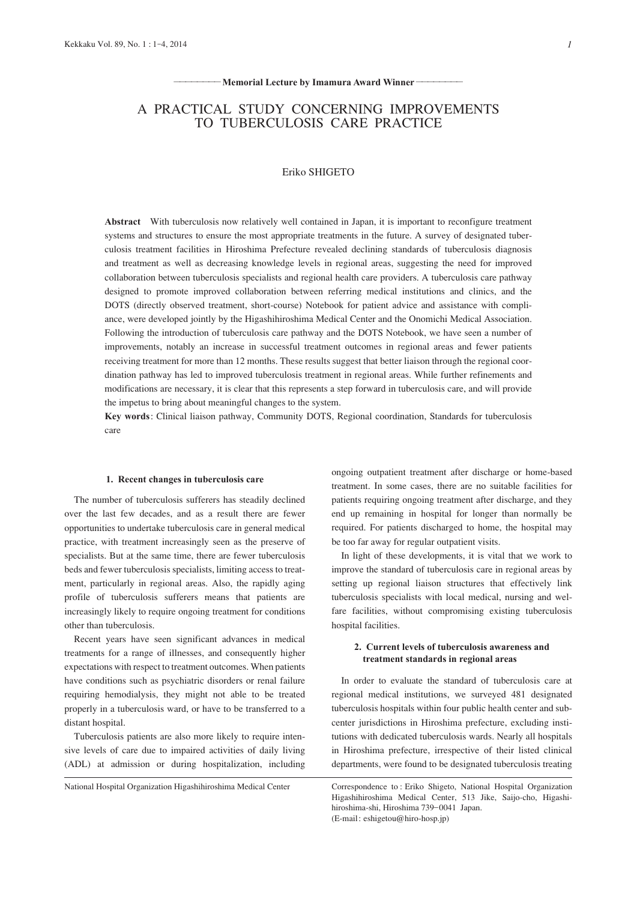#### Memorial Lecture by Imamura Award Winner-

# A PRACTICAL STUDY CONCERNING IMPROVEMENTS TO TUBERCULOSIS CARE PRACTICE

# Eriko SHIGETO

**Abstract** With tuberculosis now relatively well contained in Japan, it is important to reconfigure treatment systems and structures to ensure the most appropriate treatments in the future. A survey of designated tuberculosis treatment facilities in Hiroshima Prefecture revealed declining standards of tuberculosis diagnosis and treatment as well as decreasing knowledge levels in regional areas, suggesting the need for improved collaboration between tuberculosis specialists and regional health care providers. A tuberculosis care pathway designed to promote improved collaboration between referring medical institutions and clinics, and the DOTS (directly observed treatment, short-course) Notebook for patient advice and assistance with compliance, were developed jointly by the Higashihiroshima Medical Center and the Onomichi Medical Association. Following the introduction of tuberculosis care pathway and the DOTS Notebook, we have seen a number of improvements, notably an increase in successful treatment outcomes in regional areas and fewer patients receiving treatment for more than 12 months. These results suggest that better liaison through the regional coordination pathway has led to improved tuberculosis treatment in regional areas. While further refinements and modifications are necessary, it is clear that this represents a step forward in tuberculosis care, and will provide the impetus to bring about meaningful changes to the system.

**Key words**: Clinical liaison pathway, Community DOTS, Regional coordination, Standards for tuberculosis care

#### **1. Recent changes in tuberculosis care**

The number of tuberculosis sufferers has steadily declined over the last few decades, and as a result there are fewer opportunities to undertake tuberculosis care in general medical practice, with treatment increasingly seen as the preserve of specialists. But at the same time, there are fewer tuberculosis beds and fewer tuberculosis specialists, limiting access to treatment, particularly in regional areas. Also, the rapidly aging profile of tuberculosis sufferers means that patients are increasingly likely to require ongoing treatment for conditions other than tuberculosis.

Recent years have seen significant advances in medical treatments for a range of illnesses, and consequently higher expectations with respect to treatment outcomes. When patients have conditions such as psychiatric disorders or renal failure requiring hemodialysis, they might not able to be treated properly in a tuberculosis ward, or have to be transferred to a distant hospital.

Tuberculosis patients are also more likely to require intensive levels of care due to impaired activities of daily living (ADL) at admission or during hospitalization, including

ongoing outpatient treatment after discharge or home-based treatment. In some cases, there are no suitable facilities for patients requiring ongoing treatment after discharge, and they end up remaining in hospital for longer than normally be required. For patients discharged to home, the hospital may be too far away for regular outpatient visits.

In light of these developments, it is vital that we work to improve the standard of tuberculosis care in regional areas by setting up regional liaison structures that effectively link tuberculosis specialists with local medical, nursing and welfare facilities, without compromising existing tuberculosis hospital facilities.

## **2. Current levels of tuberculosis awareness and treatment standards in regional areas**

In order to evaluate the standard of tuberculosis care at regional medical institutions, we surveyed 481 designated tuberculosis hospitals within four public health center and subcenter jurisdictions in Hiroshima prefecture, excluding institutions with dedicated tuberculosis wards. Nearly all hospitals in Hiroshima prefecture, irrespective of their listed clinical departments, were found to be designated tuberculosis treating

National Hospital Organization Higashihiroshima Medical Center Correspondence to : Eriko Shigeto, National Hospital Organization Higashihiroshima Medical Center, 513 Jike, Saijo-cho, Higashihiroshima-shi, Hiroshima 739-0041 Japan. (E-mail: eshigetou@hiro-hosp.jp)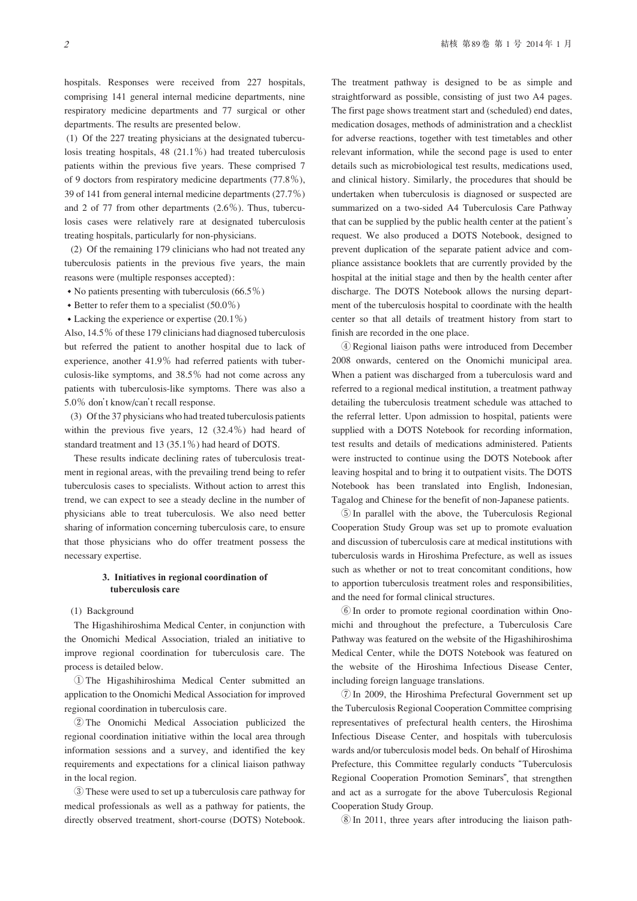hospitals. Responses were received from 227 hospitals, comprising 141 general internal medicine departments, nine respiratory medicine departments and 77 surgical or other departments. The results are presented below.

 (1) Of the 227 treating physicians at the designated tuberculosis treating hospitals, 48 (21.1%) had treated tuberculosis patients within the previous five years. These comprised 7 of 9 doctors from respiratory medicine departments (77.8%), 39 of 141 from general internal medicine departments (27.7%) and 2 of 77 from other departments (2.6%). Thus, tuberculosis cases were relatively rare at designated tuberculosis treating hospitals, particularly for non-physicians.

 (2) Of the remaining 179 clinicians who had not treated any tuberculosis patients in the previous five years, the main reasons were (multiple responses accepted):

- No patients presenting with tuberculosis  $(66.5\%)$
- Better to refer them to a specialist  $(50.0\%)$
- Lacking the experience or expertise  $(20.1\%)$

Also, 14.5% of these 179 clinicians had diagnosed tuberculosis but referred the patient to another hospital due to lack of experience, another 41.9% had referred patients with tuberculosis-like symptoms, and 38.5% had not come across any patients with tuberculosis-like symptoms. There was also a 5.0% don't know/can't recall response.

 (3) Of the 37 physicians who had treated tuberculosis patients within the previous five years, 12 (32.4%) had heard of standard treatment and 13 (35.1%) had heard of DOTS.

These results indicate declining rates of tuberculosis treatment in regional areas, with the prevailing trend being to refer tuberculosis cases to specialists. Without action to arrest this trend, we can expect to see a steady decline in the number of physicians able to treat tuberculosis. We also need better sharing of information concerning tuberculosis care, to ensure that those physicians who do offer treatment possess the necessary expertise.

### **3. Initiatives in regional coordination of tuberculosis care**

#### (1) Background

The Higashihiroshima Medical Center, in conjunction with the Onomichi Medical Association, trialed an initiative to improve regional coordination for tuberculosis care. The process is detailed below.

 ① The Higashihiroshima Medical Center submitted an application to the Onomichi Medical Association for improved regional coordination in tuberculosis care.

 ② The Onomichi Medical Association publicized the regional coordination initiative within the local area through information sessions and a survey, and identified the key requirements and expectations for a clinical liaison pathway in the local region.

 ③ These were used to set up a tuberculosis care pathway for medical professionals as well as a pathway for patients, the directly observed treatment, short-course (DOTS) Notebook. The treatment pathway is designed to be as simple and straightforward as possible, consisting of just two A4 pages. The first page shows treatment start and (scheduled) end dates, medication dosages, methods of administration and a checklist for adverse reactions, together with test timetables and other relevant information, while the second page is used to enter details such as microbiological test results, medications used, and clinical history. Similarly, the procedures that should be undertaken when tuberculosis is diagnosed or suspected are summarized on a two-sided A4 Tuberculosis Care Pathway that can be supplied by the public health center at the patient's request. We also produced a DOTS Notebook, designed to prevent duplication of the separate patient advice and compliance assistance booklets that are currently provided by the hospital at the initial stage and then by the health center after discharge. The DOTS Notebook allows the nursing department of the tuberculosis hospital to coordinate with the health center so that all details of treatment history from start to finish are recorded in the one place.

 ④ Regional liaison paths were introduced from December 2008 onwards, centered on the Onomichi municipal area. When a patient was discharged from a tuberculosis ward and referred to a regional medical institution, a treatment pathway detailing the tuberculosis treatment schedule was attached to the referral letter. Upon admission to hospital, patients were supplied with a DOTS Notebook for recording information, test results and details of medications administered. Patients were instructed to continue using the DOTS Notebook after leaving hospital and to bring it to outpatient visits. The DOTS Notebook has been translated into English, Indonesian, Tagalog and Chinese for the benefit of non-Japanese patients.

 ⑤ In parallel with the above, the Tuberculosis Regional Cooperation Study Group was set up to promote evaluation and discussion of tuberculosis care at medical institutions with tuberculosis wards in Hiroshima Prefecture, as well as issues such as whether or not to treat concomitant conditions, how to apportion tuberculosis treatment roles and responsibilities, and the need for formal clinical structures.

 ⑥ In order to promote regional coordination within Onomichi and throughout the prefecture, a Tuberculosis Care Pathway was featured on the website of the Higashihiroshima Medical Center, while the DOTS Notebook was featured on the website of the Hiroshima Infectious Disease Center, including foreign language translations.

 ⑦ In 2009, the Hiroshima Prefectural Government set up the Tuberculosis Regional Cooperation Committee comprising representatives of prefectural health centers, the Hiroshima Infectious Disease Center, and hospitals with tuberculosis wards and/or tuberculosis model beds. On behalf of Hiroshima Prefecture, this Committee regularly conducts "Tuberculosis Regional Cooperation Promotion Seminars", that strengthen and act as a surrogate for the above Tuberculosis Regional Cooperation Study Group.

⑧ In 2011, three years after introducing the liaison path-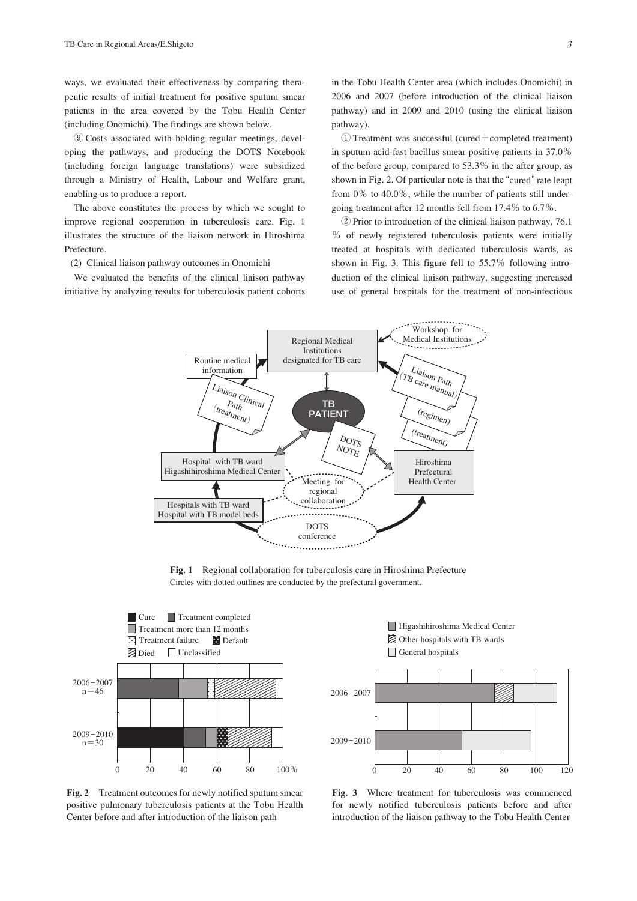ways, we evaluated their effectiveness by comparing therapeutic results of initial treatment for positive sputum smear patients in the area covered by the Tobu Health Center (including Onomichi). The findings are shown below.

 ⑨ Costs associated with holding regular meetings, developing the pathways, and producing the DOTS Notebook (including foreign language translations) were subsidized through a Ministry of Health, Labour and Welfare grant, enabling us to produce a report.

The above constitutes the process by which we sought to improve regional cooperation in tuberculosis care. Fig. 1 illustrates the structure of the liaison network in Hiroshima Prefecture.

(2) Clinical liaison pathway outcomes in Onomichi

We evaluated the benefits of the clinical liaison pathway initiative by analyzing results for tuberculosis patient cohorts in the Tobu Health Center area (which includes Onomichi) in 2006 and 2007 (before introduction of the clinical liaison pathway) and in 2009 and 2010 (using the clinical liaison pathway).

 ① Treatment was successful (cured+completed treatment) in sputum acid-fast bacillus smear positive patients in 37.0% of the before group, compared to 53.3% in the after group, as shown in Fig. 2. Of particular note is that the "cured" rate leapt from 0% to 40.0%, while the number of patients still undergoing treatment after 12 months fell from 17.4% to 6.7%.

 ② Prior to introduction of the clinical liaison pathway, 76.1 % of newly registered tuberculosis patients were initially treated at hospitals with dedicated tuberculosis wards, as shown in Fig. 3. This figure fell to 55.7% following introduction of the clinical liaison pathway, suggesting increased use of general hospitals for the treatment of non-infectious



**Fig. 1** Regional collaboration for tuberculosis care in Hiroshima Prefecture Circles with dotted outlines are conducted by the prefectural government.



**Fig. 2** Treatment outcomes for newly notified sputum smear positive pulmonary tuberculosis patients at the Tobu Health Center before and after introduction of the liaison path



Higashihiroshima Medical Center

Other hospitals with TB wards

**Fig. 3** Where treatment for tuberculosis was commenced for newly notified tuberculosis patients before and after introduction of the liaison pathway to the Tobu Health Center